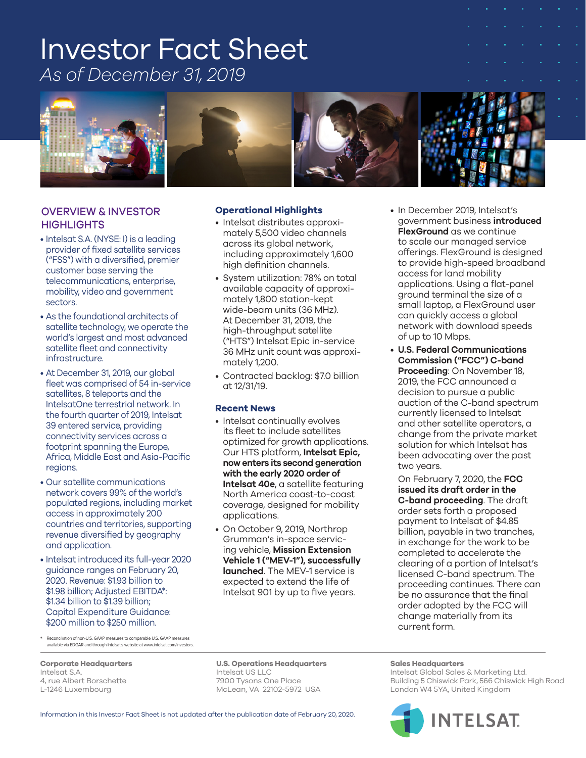# Investor Fact Sheet *As of December 31, 2019*



## OVERVIEW & INVESTOR **HIGHLIGHTS**

- Intelsat S.A. (NYSE: I) is a leading provider of fixed satellite services ("FSS") with a diversified, premier customer base serving the telecommunications, enterprise, mobility, video and government sectors.
- As the foundational architects of satellite technology, we operate the world's largest and most advanced satellite fleet and connectivity infrastructure.
- At December 31, 2019, our global fleet was comprised of 54 in-service satellites, 8 teleports and the IntelsatOne terrestrial network. In the fourth quarter of 2019, Intelsat 39 entered service, providing connectivity services across a footprint spanning the Europe, Africa, Middle East and Asia-Pacific regions.
- Our satellite communications network covers 99% of the world's populated regions, including market access in approximately 200 countries and territories, supporting revenue diversified by geography and application.
- Intelsat introduced its full-year 2020 guidance ranges on February 20, 2020. Revenue: \$1.93 billion to \$1.98 billion; Adjusted EBITDA\*: \$1.34 billion to \$1.39 billion; Capital Expenditure Guidance: \$200 million to \$250 million.

#### **Operational Highlights**

- Intelsat distributes approximately 5,500 video channels across its global network, including approximately 1,600 high definition channels.
- System utilization: 78% on total available capacity of approximately 1,800 station-kept wide-beam units (36 MHz). At December 31, 2019, the high-throughput satellite ("HTS") Intelsat Epic in-service 36 MHz unit count was approximately 1,200.
- Contracted backlog: \$7.0 billion at 12/31/19.

#### **Recent News**

- Intelsat continually evolves its fleet to include satellites optimized for growth applications. Our HTS platform, **Intelsat Epic, now enters its second generation with the early 2020 order of Intelsat 40e**, a satellite featuring North America coast-to-coast coverage, designed for mobility applications.
- On October 9, 2019, Northrop Grumman's in-space servicing vehicle, **Mission Extension Vehicle 1 ("MEV-1"), successfully launched**. The MEV-1 service is expected to extend the life of Intelsat 901 by up to five years.

• In December 2019, Intelsat's government business **introduced FlexGround** as we continue to scale our managed service offerings. FlexGround is designed to provide high-speed broadband access for land mobility applications. Using a flat-panel ground terminal the size of a small laptop, a FlexGround user can quickly access a global network with download speeds of up to 10 Mbps.

• **U.S. Federal Communications Commission ("FCC") C-band Proceeding**: On November 18, 2019, the FCC announced a decision to pursue a public auction of the C-band spectrum currently licensed to Intelsat and other satellite operators, a change from the private market solution for which Intelsat has been advocating over the past two years.

On February 7, 2020, the **FCC issued its draft order in the C-band proceeding**. The draft order sets forth a proposed payment to Intelsat of \$4.85 billion, payable in two tranches, in exchange for the work to be completed to accelerate the clearing of a portion of Intelsat's licensed C-band spectrum. The proceeding continues. There can be no assurance that the final order adopted by the FCC will change materially from its current form.

\* Reconciliation of non-U.S. GAAP measures to comparable U.S. GAAP measures available via EDGAR and through Intelsat's website at www.intelsat.com/investors.

**Corporate Headquarters U.S. Operations Headquarters Sales Headquarters**

#### Information in this Investor Fact Sheet is not updated after the publication date of February 20, 2020.

Intelsat S.A. Intelsat US LLC Intelsat Global Sales & Marketing Ltd. 7900 Tysons One Place **Building 5 Chiswick Park, 566 Chiswick High Road** L-1246 Luxembourg entitled McLean, VA 22102-5972 USA London W4 5YA, United Kingdom